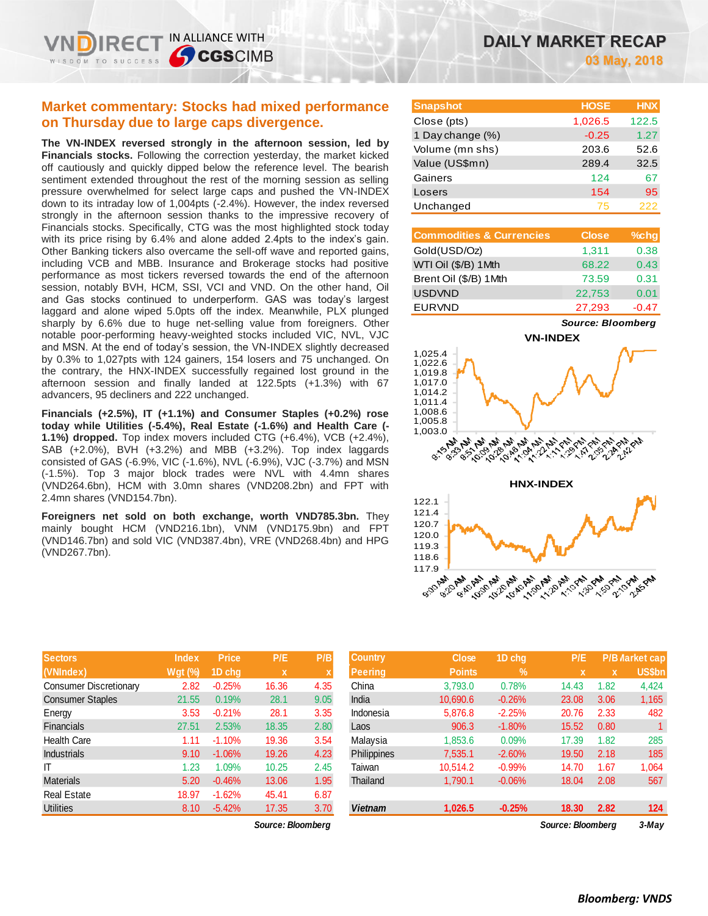## **Market commentary: Stocks had mixed performance on Thursday due to large caps divergence.**

**The VN-INDEX reversed strongly in the afternoon session, led by Financials stocks.** Following the correction yesterday, the market kicked off cautiously and quickly dipped below the reference level. The bearish sentiment extended throughout the rest of the morning session as selling pressure overwhelmed for select large caps and pushed the VN-INDEX down to its intraday low of 1,004pts (-2.4%). However, the index reversed strongly in the afternoon session thanks to the impressive recovery of Financials stocks. Specifically, CTG was the most highlighted stock today with its price rising by 6.4% and alone added 2.4pts to the index's gain. Other Banking tickers also overcame the sell-off wave and reported gains, including VCB and MBB. Insurance and Brokerage stocks had positive performance as most tickers reversed towards the end of the afternoon session, notably BVH, HCM, SSI, VCI and VND. On the other hand, Oil and Gas stocks continued to underperform. GAS was today's largest laggard and alone wiped 5.0pts off the index. Meanwhile, PLX plunged sharply by 6.6% due to huge net-selling value from foreigners. Other notable poor-performing heavy-weighted stocks included VIC, NVL, VJC and MSN. At the end of today's session, the VN-INDEX slightly decreased by 0.3% to 1,027pts with 124 gainers, 154 losers and 75 unchanged. On the contrary, the HNX-INDEX successfully regained lost ground in the afternoon session and finally landed at 122.5pts (+1.3%) with 67 advancers, 95 decliners and 222 unchanged.

**Financials (+2.5%), IT (+1.1%) and Consumer Staples (+0.2%) rose today while Utilities (-5.4%), Real Estate (-1.6%) and Health Care (- 1.1%) dropped.** Top index movers included CTG (+6.4%), VCB (+2.4%), SAB (+2.0%), BVH (+3.2%) and MBB (+3.2%). Top index laggards consisted of GAS (-6.9%, VIC (-1.6%), NVL (-6.9%), VJC (-3.7%) and MSN (-1.5%). Top 3 major block trades were NVL with 4.4mn shares (VND264.6bn), HCM with 3.0mn shares (VND208.2bn) and FPT with 2.4mn shares (VND154.7bn).

**Foreigners net sold on both exchange, worth VND785.3bn.** They mainly bought HCM (VND216.1bn), VNM (VND175.9bn) and FPT (VND146.7bn) and sold VIC (VND387.4bn), VRE (VND268.4bn) and HPG (VND267.7bn).

| <b>Sectors</b>                | <b>Index</b>   | <b>Price</b> | P/E         | P/B  |
|-------------------------------|----------------|--------------|-------------|------|
| (VNIndex)                     | <b>Wgt (%)</b> | 1D chq       | $\mathbf x$ | X    |
| <b>Consumer Discretionary</b> | 2.82           | $-0.25%$     | 16.36       | 4.35 |
| <b>Consumer Staples</b>       | 21.55          | 0.19%        | 28.1        | 9.05 |
| Energy                        | 3.53           | $-0.21%$     | 28.1        | 3.35 |
| <b>Financials</b>             | 27.51          | 2.53%        | 18.35       | 2.80 |
| <b>Health Care</b>            | 1.11           | $-1.10%$     | 19.36       | 3.54 |
| Industrials                   | 9.10           | $-1.06%$     | 19.26       | 4.23 |
| IΤ                            | 1.23           | 1.09%        | 10.25       | 2.45 |
| <b>Materials</b>              | 5.20           | $-0.46%$     | 13.06       | 1.95 |
| <b>Real Estate</b>            | 18.97          | $-1.62%$     | 45.41       | 6.87 |
| <b>Utilities</b>              | 8.10           | $-5.42%$     | 17.35       | 3.70 |

*Source: Bloomberg Source: Bloomberg 3-May*

| <b>Snapshot</b>  | <b>HOSE</b> | <b>HNX</b> |
|------------------|-------------|------------|
| Close (pts)      | 1,026.5     | 122.5      |
| 1 Day change (%) | $-0.25$     | 1.27       |
| Volume (mn shs)  | 203.6       | 52.6       |
| Value (US\$mn)   | 289.4       | 32.5       |
| Gainers          | 124         | 67         |
| Losers           | 154         | 95         |
| Unchanged        | 75          | 222        |

| <b>Commodities &amp; Currencies</b> | <b>Close</b> | $%$ chg |
|-------------------------------------|--------------|---------|
| Gold(USD/Oz)                        | 1,311        | 0.38    |
| WTI Oil (\$/B) 1Mth                 | 68.22        | 0.43    |
| Brent Oil (\$/B) 1Mth               | 73.59        | 0.31    |
| <b>USDVND</b>                       | 22,753       | 0.01    |
| <b>EURVND</b>                       | 27,293       | $-0.47$ |

*Source: Bloomberg*



**0120113791** 

**LEAD PRI** 21-10PM

**PARKS** 

 $\sim$ **V.30K** 

| <b>Sectors</b>         | <b>Index</b>   | <b>Price</b> | P/E               | P/B  | <b>Country</b> | <b>Close</b>  | 1D chq           | P/E               | <b>P/B Market cap</b> |  |
|------------------------|----------------|--------------|-------------------|------|----------------|---------------|------------------|-------------------|-----------------------|--|
| (VNIndex)              | <b>Wat (%)</b> | 1D cha       | $\mathbf x$       |      | <b>Peering</b> | <b>Points</b> | $\mathbb{V}_{0}$ | $\mathbf x$       | x                     |  |
| Consumer Discretionary | 2.82           | $-0.25%$     | 16.36             | 4.35 | China          | 3.793.0       | 0.78%            | 14.43             | 1.82                  |  |
| Consumer Staples       | 21.55          | 0.19%        | 28.1              | 9.05 | India          | 10,690.6      | $-0.26%$         | 23.08             | 3.06                  |  |
| Energy                 | 3.53           | $-0.21%$     | 28.1              | 3.35 | Indonesia      | 5,876.8       | $-2.25%$         | 20.76             | 2.33                  |  |
| Financials             | 27.51          | 2.53%        | 18.35             | 2.80 | Laos           | 906.3         | $-1.80%$         | 15.52             | 0.80                  |  |
| Health Care            | 1.11           | $-1.10%$     | 19.36             | 3.54 | Malaysia       | 1.853.6       | 0.09%            | 17.39             | 1.82                  |  |
| Industrials            | 9.10           | $-1.06%$     | 19.26             | 4.23 | Philippines    | 7.535.1       | $-2.60%$         | 19.50             | 2.18                  |  |
|                        | 1.23           | .09%         | 10.25             | 2.45 | Taiwan         | 10.514.2      | $-0.99%$         | 14.70             | 1.67                  |  |
| Materials              | 5.20           | $-0.46%$     | 13.06             | 1.95 | Thailand       | 1,790.1       | $-0.06%$         | 18.04             | 2.08                  |  |
| Real Estate            | 18.97          | $-1.62%$     | 45.41             | 6.87 |                |               |                  |                   |                       |  |
| Utilities              | 8.10           | $-5.42%$     | 17.35             | 3.70 | <b>Vietnam</b> | 1,026.5       | $-0.25%$         | 18.30             | 2.82                  |  |
|                        |                |              | Source: Bloomberg |      |                |               |                  | Source: Bloomberg |                       |  |

**101401401 CASTORE** CAMPAS

O. Ash 10:00 **10:30 tal** TO 70 AM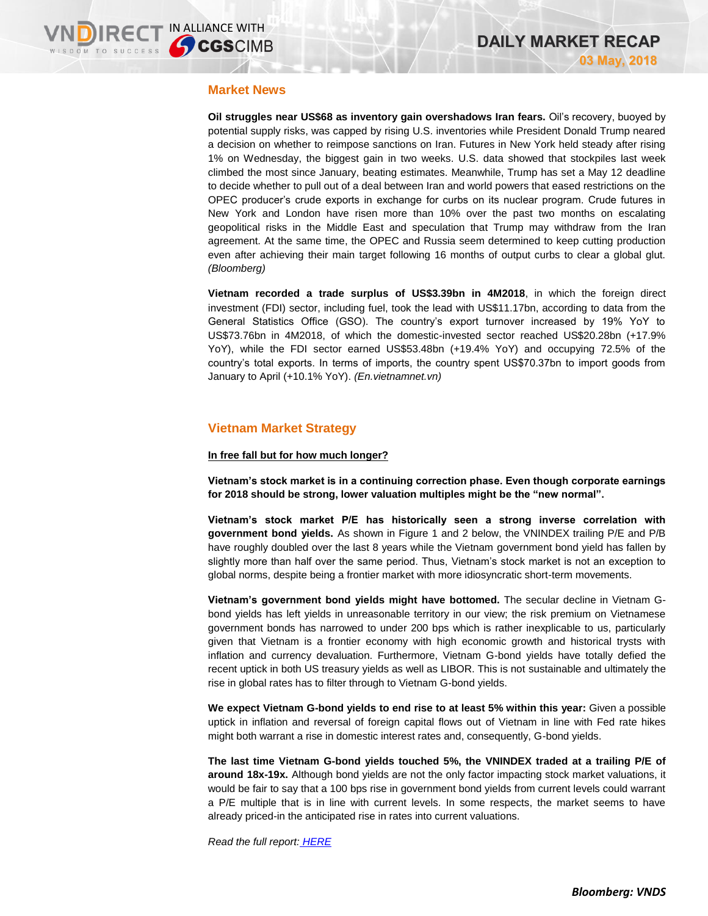### **Market News**

**Oil struggles near US\$68 as inventory gain overshadows Iran fears.** Oil's recovery, buoyed by potential supply risks, was capped by rising U.S. inventories while President Donald Trump neared a decision on whether to reimpose sanctions on Iran. Futures in New York held steady after rising 1% on Wednesday, the biggest gain in two weeks. U.S. data showed that stockpiles last week climbed the most since January, beating estimates. Meanwhile, Trump has set a May 12 deadline to decide whether to pull out of a deal between Iran and world powers that eased restrictions on the OPEC producer's crude exports in exchange for curbs on its nuclear program. Crude futures in New York and London have risen more than 10% over the past two months on escalating geopolitical risks in the Middle East and speculation that Trump may withdraw from the Iran agreement. At the same time, the OPEC and Russia seem determined to keep cutting production even after achieving their main target following 16 months of output curbs to clear a global glut. *(Bloomberg)*

**Vietnam recorded a trade surplus of US\$3.39bn in 4M2018**, in which the foreign direct investment (FDI) sector, including fuel, took the lead with US\$11.17bn, according to data from the General Statistics Office (GSO). The country's export turnover increased by 19% YoY to US\$73.76bn in 4M2018, of which the domestic-invested sector reached US\$20.28bn (+17.9% YoY), while the FDI sector earned US\$53.48bn (+19.4% YoY) and occupying 72.5% of the country's total exports. In terms of imports, the country spent US\$70.37bn to import goods from January to April (+10.1% YoY). *(En.vietnamnet.vn)*

## **Vietnam Market Strategy**

#### **In free fall but for how much longer?**

**Vietnam's stock market is in a continuing correction phase. Even though corporate earnings for 2018 should be strong, lower valuation multiples might be the "new normal".** 

**Vietnam's stock market P/E has historically seen a strong inverse correlation with government bond yields.** As shown in Figure 1 and 2 below, the VNINDEX trailing P/E and P/B have roughly doubled over the last 8 years while the Vietnam government bond yield has fallen by slightly more than half over the same period. Thus, Vietnam's stock market is not an exception to global norms, despite being a frontier market with more idiosyncratic short-term movements.

**Vietnam's government bond yields might have bottomed.** The secular decline in Vietnam Gbond yields has left yields in unreasonable territory in our view; the risk premium on Vietnamese government bonds has narrowed to under 200 bps which is rather inexplicable to us, particularly given that Vietnam is a frontier economy with high economic growth and historical trysts with inflation and currency devaluation. Furthermore, Vietnam G-bond yields have totally defied the recent uptick in both US treasury yields as well as LIBOR. This is not sustainable and ultimately the rise in global rates has to filter through to Vietnam G-bond yields.

**We expect Vietnam G-bond yields to end rise to at least 5% within this year:** Given a possible uptick in inflation and reversal of foreign capital flows out of Vietnam in line with Fed rate hikes might both warrant a rise in domestic interest rates and, consequently, G-bond yields.

**The last time Vietnam G-bond yields touched 5%, the VNINDEX traded at a trailing P/E of around 18x-19x.** Although bond yields are not the only factor impacting stock market valuations, it would be fair to say that a 100 bps rise in government bond yields from current levels could warrant a P/E multiple that is in line with current levels. In some respects, the market seems to have already priced-in the anticipated rise in rates into current valuations.

*Read the full report: [HERE](https://static-02.vndirect.com.vn/uploads/prod/Vietnam-Market-Strategy_20180503.pdf)*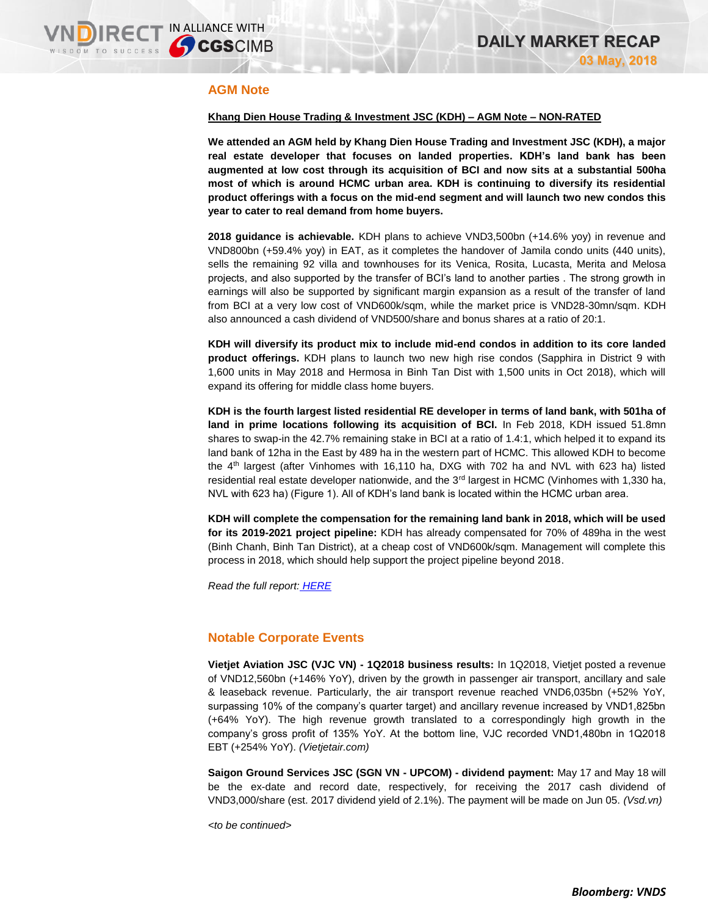## **AGM Note**

#### **Khang Dien House Trading & Investment JSC (KDH) – AGM Note – NON-RATED**

**We attended an AGM held by Khang Dien House Trading and Investment JSC (KDH), a major real estate developer that focuses on landed properties. KDH's land bank has been augmented at low cost through its acquisition of BCI and now sits at a substantial 500ha most of which is around HCMC urban area. KDH is continuing to diversify its residential product offerings with a focus on the mid-end segment and will launch two new condos this year to cater to real demand from home buyers.**

**2018 guidance is achievable.** KDH plans to achieve VND3,500bn (+14.6% yoy) in revenue and VND800bn (+59.4% yoy) in EAT, as it completes the handover of Jamila condo units (440 units), sells the remaining 92 villa and townhouses for its Venica, Rosita, Lucasta, Merita and Melosa projects, and also supported by the transfer of BCI's land to another parties . The strong growth in earnings will also be supported by significant margin expansion as a result of the transfer of land from BCI at a very low cost of VND600k/sqm, while the market price is VND28-30mn/sqm. KDH also announced a cash dividend of VND500/share and bonus shares at a ratio of 20:1.

**KDH will diversify its product mix to include mid-end condos in addition to its core landed product offerings.** KDH plans to launch two new high rise condos (Sapphira in District 9 with 1,600 units in May 2018 and Hermosa in Binh Tan Dist with 1,500 units in Oct 2018), which will expand its offering for middle class home buyers.

**KDH is the fourth largest listed residential RE developer in terms of land bank, with 501ha of land in prime locations following its acquisition of BCI.** In Feb 2018, KDH issued 51.8mn shares to swap-in the 42.7% remaining stake in BCI at a ratio of 1.4:1, which helped it to expand its land bank of 12ha in the East by 489 ha in the western part of HCMC. This allowed KDH to become the 4th largest (after Vinhomes with 16,110 ha, DXG with 702 ha and NVL with 623 ha) listed residential real estate developer nationwide, and the 3<sup>rd</sup> largest in HCMC (Vinhomes with 1,330 ha, NVL with 623 ha) (Figure 1). All of KDH's land bank is located within the HCMC urban area.

**KDH will complete the compensation for the remaining land bank in 2018, which will be used for its 2019-2021 project pipeline:** KDH has already compensated for 70% of 489ha in the west (Binh Chanh, Binh Tan District), at a cheap cost of VND600k/sqm. Management will complete this process in 2018, which should help support the project pipeline beyond 2018.

*Read the full report: [HERE](https://static-02.vndirect.com.vn/uploads/prod/KDH_AGM-Note_20180503.pdf)*

### **Notable Corporate Events**

**Vietjet Aviation JSC (VJC VN) - 1Q2018 business results:** In 1Q2018, Vietjet posted a revenue of VND12,560bn (+146% YoY), driven by the growth in passenger air transport, ancillary and sale & leaseback revenue. Particularly, the air transport revenue reached VND6,035bn (+52% YoY, surpassing 10% of the company's quarter target) and ancillary revenue increased by VND1,825bn (+64% YoY). The high revenue growth translated to a correspondingly high growth in the company's gross profit of 135% YoY. At the bottom line, VJC recorded VND1,480bn in 1Q2018 EBT (+254% YoY). *(Vietjetair.com)*

**Saigon Ground Services JSC (SGN VN - UPCOM) - dividend payment:** May 17 and May 18 will be the ex-date and record date, respectively, for receiving the 2017 cash dividend of VND3,000/share (est. 2017 dividend yield of 2.1%). The payment will be made on Jun 05. *(Vsd.vn)*

*<to be continued>*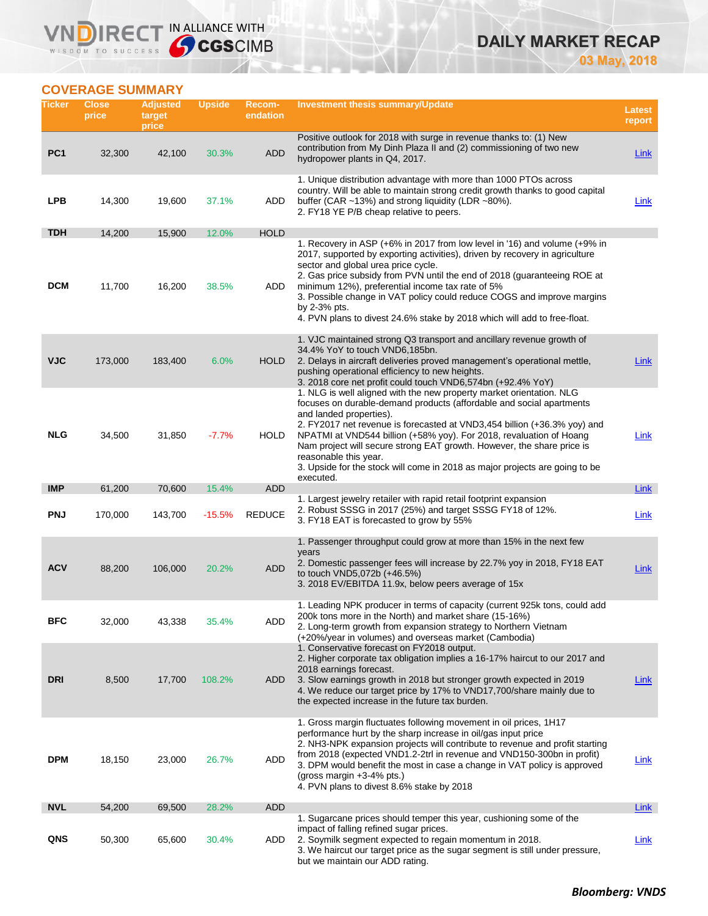## **IRECT IN ALLIANCE WITH** WISDOM TO SUCCESS

## **DAILY MARKET RECAP 03 May, 2018**

## **COVERAGE SUMMARY**

VND

| Ticker          | <b>Close</b><br>price | <b>Adjusted</b><br>target<br>price | <b>Upside</b> | <b>Recom-</b><br>endation | <b>Investment thesis summary/Update</b>                                                                                                                                                                                                                                                                                                                                                                                                                                                                                   | <b>Latest</b><br>report |
|-----------------|-----------------------|------------------------------------|---------------|---------------------------|---------------------------------------------------------------------------------------------------------------------------------------------------------------------------------------------------------------------------------------------------------------------------------------------------------------------------------------------------------------------------------------------------------------------------------------------------------------------------------------------------------------------------|-------------------------|
| PC <sub>1</sub> | 32,300                | 42,100                             | 30.3%         | <b>ADD</b>                | Positive outlook for 2018 with surge in revenue thanks to: (1) New<br>contribution from My Dinh Plaza II and (2) commissioning of two new<br>hydropower plants in Q4, 2017.                                                                                                                                                                                                                                                                                                                                               | Link                    |
| <b>LPB</b>      | 14,300                | 19,600                             | 37.1%         | ADD                       | 1. Unique distribution advantage with more than 1000 PTOs across<br>country. Will be able to maintain strong credit growth thanks to good capital<br>buffer (CAR ~13%) and strong liquidity (LDR ~80%).<br>2. FY18 YE P/B cheap relative to peers.                                                                                                                                                                                                                                                                        | Link                    |
| <b>TDH</b>      | 14,200                | 15,900                             | 12.0%         | <b>HOLD</b>               |                                                                                                                                                                                                                                                                                                                                                                                                                                                                                                                           |                         |
| <b>DCM</b>      | 11,700                | 16,200                             | 38.5%         | ADD                       | 1. Recovery in ASP (+6% in 2017 from low level in '16) and volume (+9% in<br>2017, supported by exporting activities), driven by recovery in agriculture<br>sector and global urea price cycle.<br>2. Gas price subsidy from PVN until the end of 2018 (guaranteeing ROE at<br>minimum 12%), preferential income tax rate of 5%<br>3. Possible change in VAT policy could reduce COGS and improve margins<br>by $2-3\%$ pts.<br>4. PVN plans to divest 24.6% stake by 2018 which will add to free-float.                  |                         |
| <b>VJC</b>      | 173,000               | 183,400                            | 6.0%          | <b>HOLD</b>               | 1. VJC maintained strong Q3 transport and ancillary revenue growth of<br>34.4% YoY to touch VND6.185bn.<br>2. Delays in aircraft deliveries proved management's operational mettle,<br>pushing operational efficiency to new heights.<br>3. 2018 core net profit could touch VND6,574bn (+92.4% YoY)                                                                                                                                                                                                                      | Link                    |
| NLG             | 34,500                | 31,850                             | $-7.7%$       | HOLD                      | 1. NLG is well aligned with the new property market orientation. NLG<br>focuses on durable-demand products (affordable and social apartments<br>and landed properties).<br>2. FY2017 net revenue is forecasted at VND3,454 billion (+36.3% yoy) and<br>NPATMI at VND544 billion (+58% yoy). For 2018, revaluation of Hoang<br>Nam project will secure strong EAT growth. However, the share price is<br>reasonable this year.<br>3. Upside for the stock will come in 2018 as major projects are going to be<br>executed. | <u>Link</u>             |
| <b>IMP</b>      | 61,200                | 70,600                             | 15.4%         | <b>ADD</b>                |                                                                                                                                                                                                                                                                                                                                                                                                                                                                                                                           | Link                    |
| <b>PNJ</b>      | 170,000               | 143,700                            | $-15.5%$      | <b>REDUCE</b>             | 1. Largest jewelry retailer with rapid retail footprint expansion<br>2. Robust SSSG in 2017 (25%) and target SSSG FY18 of 12%.<br>3. FY18 EAT is forecasted to grow by 55%                                                                                                                                                                                                                                                                                                                                                | <b>Link</b>             |
| <b>ACV</b>      | 88,200                | 106,000                            | 20.2%         | <b>ADD</b>                | 1. Passenger throughput could grow at more than 15% in the next few<br>years<br>2. Domestic passenger fees will increase by 22.7% yoy in 2018, FY18 EAT<br>to touch VND5,072b (+46.5%)<br>3. 2018 EV/EBITDA 11.9x, below peers average of 15x                                                                                                                                                                                                                                                                             | Link                    |
| BFC             | 32,000                | 43,338                             | 35.4%         | ADD                       | 1. Leading NPK producer in terms of capacity (current 925k tons, could add<br>200k tons more in the North) and market share (15-16%)<br>2. Long-term growth from expansion strategy to Northern Vietnam<br>(+20%/year in volumes) and overseas market (Cambodia)<br>1. Conservative forecast on FY2018 output.<br>2. Higher corporate tax obligation implies a 16-17% haircut to our 2017 and                                                                                                                             |                         |
| <b>DRI</b>      | 8,500                 | 17,700                             | 108.2%        | ADD                       | 2018 earnings forecast.<br>3. Slow earnings growth in 2018 but stronger growth expected in 2019<br>4. We reduce our target price by 17% to VND17,700/share mainly due to<br>the expected increase in the future tax burden.                                                                                                                                                                                                                                                                                               | <b>Link</b>             |
| <b>DPM</b>      | 18,150                | 23,000                             | 26.7%         | ADD                       | 1. Gross margin fluctuates following movement in oil prices, 1H17<br>performance hurt by the sharp increase in oil/gas input price<br>2. NH3-NPK expansion projects will contribute to revenue and profit starting<br>from 2018 (expected VND1.2-2trl in revenue and VND150-300bn in profit)<br>3. DPM would benefit the most in case a change in VAT policy is approved<br>(gross margin $+3-4%$ pts.)<br>4. PVN plans to divest 8.6% stake by 2018                                                                      | <u>Link</u>             |
| <b>NVL</b>      | 54,200                | 69,500                             | 28.2%         | <b>ADD</b>                |                                                                                                                                                                                                                                                                                                                                                                                                                                                                                                                           | Link                    |
| QNS             | 50,300                | 65,600                             | 30.4%         | ADD                       | 1. Sugarcane prices should temper this year, cushioning some of the<br>impact of falling refined sugar prices.<br>2. Soymilk segment expected to regain momentum in 2018.<br>3. We haircut our target price as the sugar segment is still under pressure,<br>but we maintain our ADD rating.                                                                                                                                                                                                                              | <b>Link</b>             |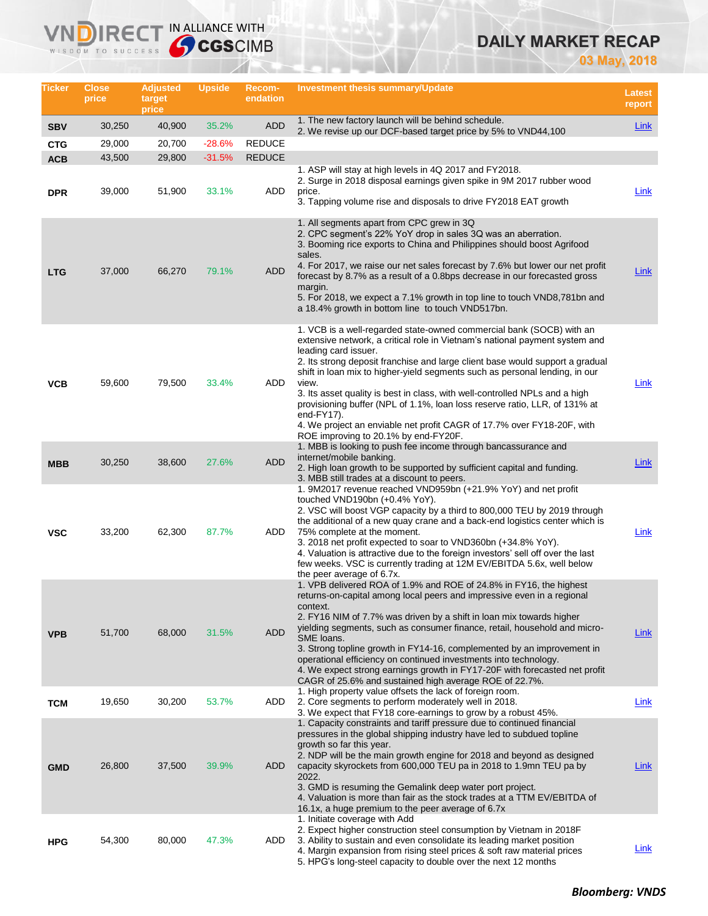# **DAILY MARKET RECAP**

**03 May, 2018**

| Ticker                   | Close<br>price   | <b>Adjusted</b><br>target<br>price | Upside            | <b>Recom-</b><br>endation | <b>Investment thesis summary/Update</b>                                                                                                                                                                                                                                                                                                                                                                                                                                                                                                                                                                                                           | <b>Latest</b><br>report |
|--------------------------|------------------|------------------------------------|-------------------|---------------------------|---------------------------------------------------------------------------------------------------------------------------------------------------------------------------------------------------------------------------------------------------------------------------------------------------------------------------------------------------------------------------------------------------------------------------------------------------------------------------------------------------------------------------------------------------------------------------------------------------------------------------------------------------|-------------------------|
| <b>SBV</b>               | 30,250           | 40,900                             | 35.2%             | <b>ADD</b>                | 1. The new factory launch will be behind schedule.<br>2. We revise up our DCF-based target price by 5% to VND44,100                                                                                                                                                                                                                                                                                                                                                                                                                                                                                                                               | Link                    |
| <b>CTG</b>               | 29,000           | 20,700                             | $-28.6%$          | <b>REDUCE</b>             |                                                                                                                                                                                                                                                                                                                                                                                                                                                                                                                                                                                                                                                   |                         |
| <b>ACB</b><br><b>DPR</b> | 43,500<br>39,000 | 29,800<br>51,900                   | $-31.5%$<br>33.1% | <b>REDUCE</b><br>ADD      | 1. ASP will stay at high levels in 4Q 2017 and FY2018.<br>2. Surge in 2018 disposal earnings given spike in 9M 2017 rubber wood<br>price.<br>3. Tapping volume rise and disposals to drive FY2018 EAT growth                                                                                                                                                                                                                                                                                                                                                                                                                                      | Link                    |
| <b>LTG</b>               | 37,000           | 66,270                             | 79.1%             | <b>ADD</b>                | 1. All segments apart from CPC grew in 3Q<br>2. CPC segment's 22% YoY drop in sales 3Q was an aberration.<br>3. Booming rice exports to China and Philippines should boost Agrifood<br>sales.<br>4. For 2017, we raise our net sales forecast by 7.6% but lower our net profit<br>forecast by 8.7% as a result of a 0.8bps decrease in our forecasted gross<br>margin.<br>5. For 2018, we expect a 7.1% growth in top line to touch VND8,781bn and<br>a 18.4% growth in bottom line to touch VND517bn.                                                                                                                                            | Link                    |
| <b>VCB</b>               | 59,600           | 79,500                             | 33.4%             | ADD                       | 1. VCB is a well-regarded state-owned commercial bank (SOCB) with an<br>extensive network, a critical role in Vietnam's national payment system and<br>leading card issuer.<br>2. Its strong deposit franchise and large client base would support a gradual<br>shift in loan mix to higher-yield segments such as personal lending, in our<br>view.<br>3. Its asset quality is best in class, with well-controlled NPLs and a high<br>provisioning buffer (NPL of 1.1%, loan loss reserve ratio, LLR, of 131% at<br>end-FY17).<br>4. We project an enviable net profit CAGR of 17.7% over FY18-20F, with<br>ROE improving to 20.1% by end-FY20F. | Link                    |
| <b>MBB</b>               | 30,250           | 38,600                             | 27.6%             | <b>ADD</b>                | 1. MBB is looking to push fee income through bancassurance and<br>internet/mobile banking.<br>2. High loan growth to be supported by sufficient capital and funding.<br>3. MBB still trades at a discount to peers.                                                                                                                                                                                                                                                                                                                                                                                                                               | Link                    |
| <b>VSC</b>               | 33,200           | 62,300                             | 87.7%             | ADD                       | 1. 9M2017 revenue reached VND959bn (+21.9% YoY) and net profit<br>touched VND190bn (+0.4% YoY).<br>2. VSC will boost VGP capacity by a third to 800,000 TEU by 2019 through<br>the additional of a new quay crane and a back-end logistics center which is<br>75% complete at the moment.<br>3. 2018 net profit expected to soar to VND360bn (+34.8% YoY).<br>4. Valuation is attractive due to the foreign investors' sell off over the last<br>few weeks. VSC is currently trading at 12M EV/EBITDA 5.6x, well below<br>the peer average of 6.7x.                                                                                               | Link                    |
| <b>VPB</b>               | 51,700           | 68,000                             | 31.5%             | <b>ADD</b>                | 1. VPB delivered ROA of 1.9% and ROE of 24.8% in FY16, the highest<br>returns-on-capital among local peers and impressive even in a regional<br>context.<br>2. FY16 NIM of 7.7% was driven by a shift in loan mix towards higher<br>yielding segments, such as consumer finance, retail, household and micro-<br>SME loans.<br>3. Strong topline growth in FY14-16, complemented by an improvement in<br>operational efficiency on continued investments into technology.<br>4. We expect strong earnings growth in FY17-20F with forecasted net profit<br>CAGR of 25.6% and sustained high average ROE of 22.7%.                                 | <u>Link</u>             |
| <b>TCM</b>               | 19,650           | 30,200                             | 53.7%             | ADD                       | 1. High property value offsets the lack of foreign room.<br>2. Core segments to perform moderately well in 2018.<br>3. We expect that FY18 core-earnings to grow by a robust 45%.                                                                                                                                                                                                                                                                                                                                                                                                                                                                 | Link                    |
| <b>GMD</b>               | 26,800           | 37,500                             | 39.9%             | <b>ADD</b>                | 1. Capacity constraints and tariff pressure due to continued financial<br>pressures in the global shipping industry have led to subdued topline<br>growth so far this year.<br>2. NDP will be the main growth engine for 2018 and beyond as designed<br>capacity skyrockets from 600,000 TEU pa in 2018 to 1.9mn TEU pa by<br>2022.<br>3. GMD is resuming the Gemalink deep water port project.<br>4. Valuation is more than fair as the stock trades at a TTM EV/EBITDA of<br>16.1x, a huge premium to the peer average of 6.7x                                                                                                                  | <b>Link</b>             |
| <b>HPG</b>               | 54,300           | 80,000                             | 47.3%             | ADD                       | 1. Initiate coverage with Add<br>2. Expect higher construction steel consumption by Vietnam in 2018F<br>3. Ability to sustain and even consolidate its leading market position<br>4. Margin expansion from rising steel prices & soft raw material prices<br>5. HPG's long-steel capacity to double over the next 12 months                                                                                                                                                                                                                                                                                                                       | <b>Link</b>             |

**VNDIRECT IN ALLIANCE WITH**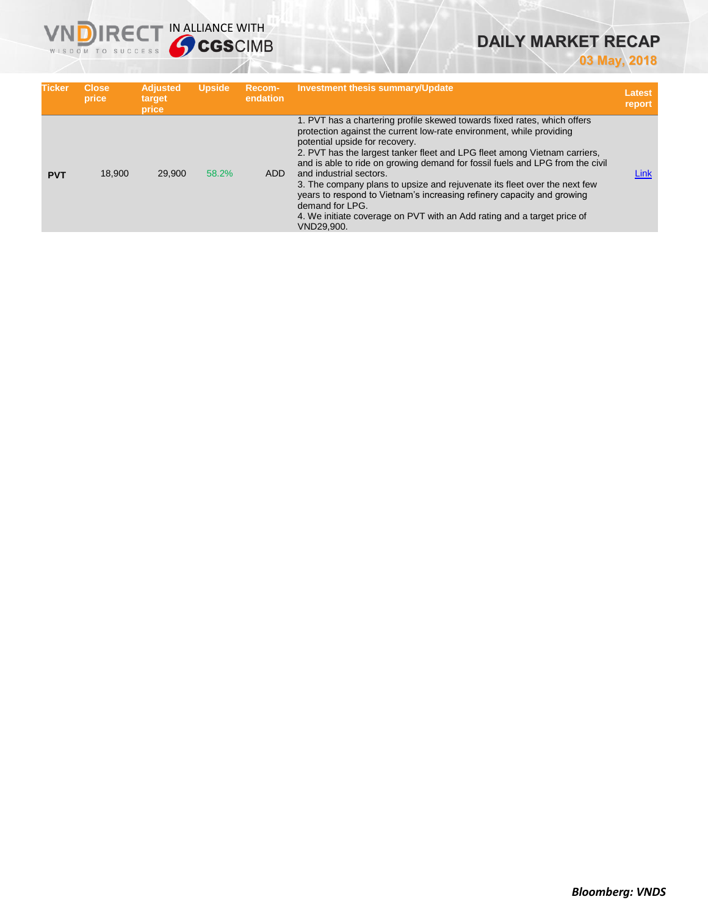# **DAILY MARKET RECAP**

**03 May, 2018**

| <b>Ticker</b> | <b>Close</b><br>price | <b>Adjusted</b><br>target<br>price | <b>Upside</b> | Recom-<br>endation | <b>Investment thesis summary/Update</b>                                                                                                                                                                                                                                                                                                                                                                                                                                                                                                                                                                                                        | Latest<br>report |
|---------------|-----------------------|------------------------------------|---------------|--------------------|------------------------------------------------------------------------------------------------------------------------------------------------------------------------------------------------------------------------------------------------------------------------------------------------------------------------------------------------------------------------------------------------------------------------------------------------------------------------------------------------------------------------------------------------------------------------------------------------------------------------------------------------|------------------|
| <b>PVT</b>    | 18,900                | 29,900                             | 58.2%         | <b>ADD</b>         | 1. PVT has a chartering profile skewed towards fixed rates, which offers<br>protection against the current low-rate environment, while providing<br>potential upside for recovery.<br>2. PVT has the largest tanker fleet and LPG fleet among Vietnam carriers,<br>and is able to ride on growing demand for fossil fuels and LPG from the civil<br>and industrial sectors.<br>3. The company plans to upsize and rejuvenate its fleet over the next few<br>years to respond to Vietnam's increasing refinery capacity and growing<br>demand for LPG.<br>4. We initiate coverage on PVT with an Add rating and a target price of<br>VND29,900. | Link             |

**VNDIRECT IN ALLIANCE WITH**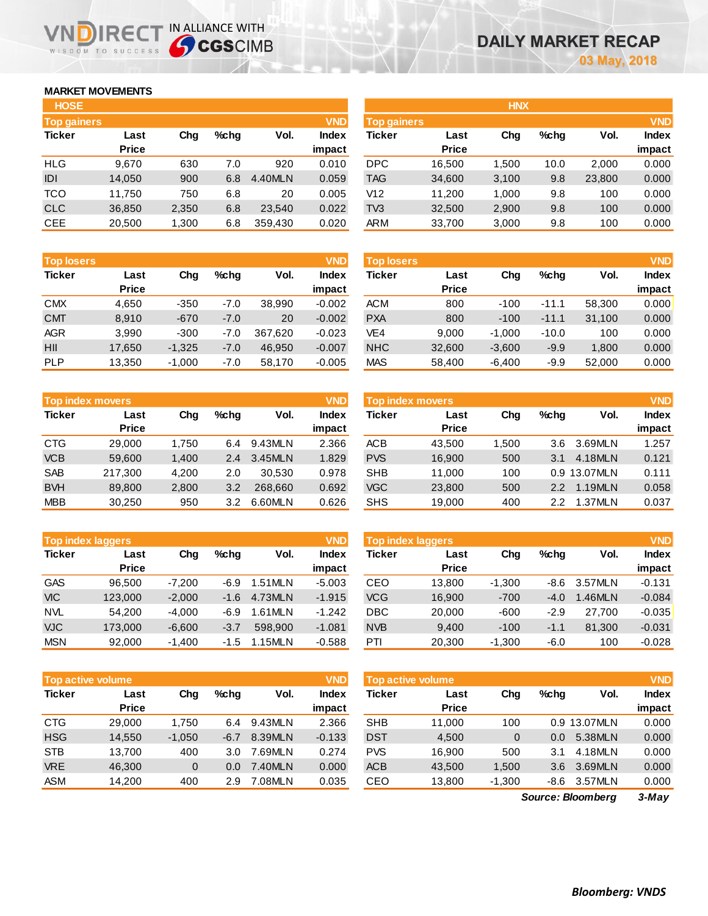## **MARKET MOVEMENTS**

WISDOM TO SUCCESS

הו

| <b>HOSE</b>        |              |       |      |         |              |
|--------------------|--------------|-------|------|---------|--------------|
| <b>Top gainers</b> |              |       |      |         | <b>VND</b>   |
| <b>Ticker</b>      | Last         | Cha   | %chq | Vol.    | <b>Index</b> |
|                    | <b>Price</b> |       |      |         | impact       |
| <b>HLG</b>         | 9,670        | 630   | 7.0  | 920     | 0.010        |
| IDI                | 14,050       | 900   | 6.8  | 4.40MLN | 0.059        |
| <b>TCO</b>         | 11,750       | 750   | 6.8  | 20      | 0.005        |
| <b>CLC</b>         | 36,850       | 2,350 | 6.8  | 23,540  | 0.022        |
| <b>CEE</b>         | 20.500       | 1,300 | 6.8  | 359.430 | 0.020        |

IRECT IN ALLIANCE WITH

| <b>Top losers</b> |              |          |        |         | <b>VND</b>   |
|-------------------|--------------|----------|--------|---------|--------------|
| <b>Ticker</b>     | Last         | Cha      | %chq   | Vol.    | <b>Index</b> |
|                   | <b>Price</b> |          |        |         | impact       |
| <b>CMX</b>        | 4,650        | $-350$   | $-7.0$ | 38,990  | $-0.002$     |
| <b>CMT</b>        | 8,910        | $-670$   | $-7.0$ | 20      | $-0.002$     |
| <b>AGR</b>        | 3,990        | $-300$   | $-7.0$ | 367,620 | $-0.023$     |
| HII               | 17,650       | $-1,325$ | $-7.0$ | 46.950  | $-0.007$     |
| <b>PLP</b>        | 13,350       | $-1,000$ | $-7.0$ | 58,170  | $-0.005$     |

| <b>Top index movers</b> |              |       |         |         |              |  |  |  |
|-------------------------|--------------|-------|---------|---------|--------------|--|--|--|
| <b>Ticker</b>           | Last         | Cha   | $%$ chq | Vol.    | <b>Index</b> |  |  |  |
|                         | <b>Price</b> |       |         |         | impact       |  |  |  |
| <b>CTG</b>              | 29,000       | 1,750 | 6.4     | 9.43MLN | 2.366        |  |  |  |
| <b>VCB</b>              | 59,600       | 1,400 | 2.4     | 3.45MLN | 1.829        |  |  |  |
| <b>SAB</b>              | 217,300      | 4,200 | 2.0     | 30.530  | 0.978        |  |  |  |
| <b>BVH</b>              | 89,800       | 2,800 | 3.2     | 268,660 | 0.692        |  |  |  |
| <b>MBB</b>              | 30,250       | 950   | 3.2     | 6.60MLN | 0.626        |  |  |  |

| <b>Top index laggers</b> |              |          |        |         |              |  |  |  |
|--------------------------|--------------|----------|--------|---------|--------------|--|--|--|
| <b>Ticker</b>            | Last         | Cha      | %chq   | Vol.    | <b>Index</b> |  |  |  |
|                          | <b>Price</b> |          |        |         | impact       |  |  |  |
| <b>GAS</b>               | 96,500       | $-7,200$ | -6.9   | 1.51MLN | $-5.003$     |  |  |  |
| <b>VIC</b>               | 123,000      | $-2,000$ | $-1.6$ | 4.73MLN | $-1.915$     |  |  |  |
| <b>NVL</b>               | 54.200       | $-4.000$ | -6.9   | 1.61MLN | $-1.242$     |  |  |  |
| <b>VJC</b>               | 173,000      | $-6,600$ | $-3.7$ | 598.900 | $-1.081$     |  |  |  |
| <b>MSN</b>               | 92,000       | $-1,400$ | $-1.5$ | 1.15MLN | $-0.588$     |  |  |  |

| <b>Top active volume</b> |              |          |      |         |              |  |  |  |
|--------------------------|--------------|----------|------|---------|--------------|--|--|--|
| <b>Ticker</b>            | Last         | Cha      | %chq | Vol.    | <b>Index</b> |  |  |  |
|                          | <b>Price</b> |          |      |         | impact       |  |  |  |
| <b>CTG</b>               | 29,000       | 1,750    | 6.4  | 9.43MLN | 2.366        |  |  |  |
| <b>HSG</b>               | 14.550       | $-1,050$ | -6.7 | 8.39MLN | $-0.133$     |  |  |  |
| <b>STB</b>               | 13,700       | 400      | 3.0  | 7.69MLN | 0.274        |  |  |  |
| <b>VRE</b>               | 46,300       | $\Omega$ | 0.0  | 7.40MLN | 0.000        |  |  |  |
| ASM                      | 14,200       | 400      | 2.9  | 7.08MLN | 0.035        |  |  |  |

| <b>HOSE</b>        |              |       |      |         |              |                    |              | <b>HNX</b> |         |        |              |
|--------------------|--------------|-------|------|---------|--------------|--------------------|--------------|------------|---------|--------|--------------|
| <b>Top gainers</b> |              |       |      |         | <b>VND</b>   | <b>Top gainers</b> |              |            |         |        | <b>VND</b>   |
| Ticker             | Last         | Chg   | %chq | Vol.    | <b>Index</b> | Ticker             | Last         | Chg        | $%$ chq | Vol.   | <b>Index</b> |
|                    | <b>Price</b> |       |      |         | impact       |                    | <b>Price</b> |            |         |        | impact       |
| HLG                | 9.670        | 630   | 7.0  | 920     | 0.010        | <b>DPC</b>         | 16,500       | 1,500      | 10.0    | 2,000  | 0.000        |
| <b>IDI</b>         | 14,050       | 900   | 6.8  | 4.40MLN | 0.059        | TAG                | 34,600       | 3,100      | 9.8     | 23,800 | 0.000        |
| TCO                | 11.750       | 750   | 6.8  | 20      | 0.005        | V12                | 11,200       | 1,000      | 9.8     | 100    | 0.000        |
| <b>CLC</b>         | 36,850       | 2,350 | 6.8  | 23,540  | 0.022        | TV3                | 32,500       | 2,900      | 9.8     | 100    | 0.000        |
| CEE                | 20,500       | 1,300 | 6.8  | 359,430 | 0.020        | ARM                | 33,700       | 3,000      | 9.8     | 100    | 0.000        |
|                    |              |       |      |         |              |                    |              |            |         |        |              |

| <b>Top losers</b> |              |          |         |         | <b>VND</b> | <b>Top losers</b> |              |          |         |        | <b>VND</b>   |
|-------------------|--------------|----------|---------|---------|------------|-------------------|--------------|----------|---------|--------|--------------|
| <b>Ticker</b>     | Last         | Chg      | $%$ chq | Vol.    | Index      | Ticker            | Last         | Chg      | $%$ chq | Vol.   | <b>Index</b> |
|                   | <b>Price</b> |          |         |         | impact     |                   | <b>Price</b> |          |         |        | impact       |
| <b>CMX</b>        | 4.650        | $-350$   | $-7.0$  | 38.990  | $-0.002$   | <b>ACM</b>        | 800          | $-100$   | $-11.1$ | 58,300 | 0.000        |
| <b>CMT</b>        | 8.910        | $-670$   | $-7.0$  | 20      | $-0.002$   | <b>PXA</b>        | 800          | $-100$   | $-11.1$ | 31.100 | 0.000        |
| <b>AGR</b>        | 3,990        | $-300$   | $-7.0$  | 367.620 | $-0.023$   | VE4               | 9.000        | $-1.000$ | $-10.0$ | 100    | 0.000        |
| HII               | 17,650       | $-1,325$ | $-7.0$  | 46.950  | $-0.007$   | <b>NHC</b>        | 32,600       | $-3,600$ | $-9.9$  | 1.800  | 0.000        |
| <b>PLP</b>        | 13,350       | $-1,000$ | $-7.0$  | 58.170  | $-0.005$   | <b>MAS</b>        | 58,400       | -6,400   | -9.9    | 52,000 | 0.000        |

| Top index movers |              |       |               |         | <b>VND</b> | <b>Top index movers</b> |              |       |         |              | <b>VND</b>   |
|------------------|--------------|-------|---------------|---------|------------|-------------------------|--------------|-------|---------|--------------|--------------|
| Ticker           | Last         | Chg   | $%$ chq       | Vol.    | Index      | Ticker                  | Last         | Chg   | $%$ chq | Vol.         | <b>Index</b> |
|                  | <b>Price</b> |       |               |         | impact     |                         | <b>Price</b> |       |         |              | impact       |
| CTG              | 29,000       | 1.750 | 6.4           | 9.43MLN | 2.366      | <b>ACB</b>              | 43,500       | 1.500 | 3.6     | 3.69MLN      | 1.257        |
| <b>VCB</b>       | 59,600       | 1.400 | $2.4^{\circ}$ | 3.45MLN | 1.829      | <b>PVS</b>              | 16,900       | 500   | 3.1     | 4.18MLN      | 0.121        |
| <b>SAB</b>       | 217.300      | 4.200 | 2.0           | 30.530  | 0.978      | <b>SHB</b>              | 11.000       | 100   |         | 0.9 13.07MLN | 0.111        |
| <b>BVH</b>       | 89,800       | 2,800 | 3.2           | 268,660 | 0.692      | <b>VGC</b>              | 23,800       | 500   | 2.2     | 1.19MLN      | 0.058        |
| <b>MBB</b>       | 30,250       | 950   | 3.2           | 6.60MLN | 0.626      | <b>SHS</b>              | 19,000       | 400   | 22      | 1.37MLN      | 0.037        |

|            | <b>VND</b><br><b>Top index laggers</b> |          |         |            |          |            | <b>Top index laggers</b> |          |         |         | <b>VND</b>   |
|------------|----------------------------------------|----------|---------|------------|----------|------------|--------------------------|----------|---------|---------|--------------|
| Ticker     | Last                                   | Chg      | $%$ chq | Vol.       | Index    | Ticker     | Last                     | Chg      | $%$ chq | Vol.    | <b>Index</b> |
|            | <b>Price</b>                           |          |         |            | impact   |            | <b>Price</b>             |          |         |         | impact       |
| GAS        | 96.500                                 | $-7.200$ | -6.9    | 1.51MLN    | $-5.003$ | CEO        | 13.800                   | $-1.300$ | -8.6    | 3.57MLN | $-0.131$     |
| <b>VIC</b> | 123,000                                | $-2,000$ | $-1.6$  | 4.73MLN    | $-1.915$ | <b>VCG</b> | 16.900                   | $-700$   | $-4.0$  | 1.46MLN | $-0.084$     |
| NVL        | 54.200                                 | $-4.000$ | -6.9    | 1.61MLN    | $-1.242$ | DBC        | 20,000                   | $-600$   | $-2.9$  | 27.700  | $-0.035$     |
| VJC        | 173,000                                | $-6,600$ | $-3.7$  | 598,900    | $-1.081$ | <b>NVB</b> | 9,400                    | $-100$   | $-1.1$  | 81,300  | $-0.031$     |
| <b>MSN</b> | 92,000                                 | $-1.400$ | $-1.5$  | $1.15$ MLN | $-0.588$ | PTI        | 20,300                   | $-1.300$ | $-6.0$  | 100     | $-0.028$     |

| <b>Top active volume</b> |              |              |         |         | VND          | <b>Top active volume</b> |              |          |         |              | <b>VND</b> |
|--------------------------|--------------|--------------|---------|---------|--------------|--------------------------|--------------|----------|---------|--------------|------------|
| Ticker                   | Last         | Chg          | $%$ chq | Vol.    | <b>Index</b> | Ticker                   | Last         | Chg      | $%$ chq | Vol.         | Index      |
|                          | <b>Price</b> |              |         |         | impact       |                          | <b>Price</b> |          |         |              | impact     |
| CTG                      | 29,000       | 1.750        | 6.4     | 9.43MLN | 2.366        | <b>SHB</b>               | 11.000       | 100      |         | 0.9 13.07MLN | 0.000      |
| <b>HSG</b>               | 14.550       | $-1,050$     | -6.7    | 8.39MLN | $-0.133$     | <b>DST</b>               | 4,500        | 0        | 0.0     | 5.38MLN      | 0.000      |
| <b>STB</b>               | 13.700       | 400          | 3.0     | 7.69MLN | 0.274        | <b>PVS</b>               | 16.900       | 500      | 3.1     | 4.18MLN      | 0.000      |
| <b>VRE</b>               | 46,300       | $\mathbf{0}$ | 0.0     | 7.40MLN | 0.000        | <b>ACB</b>               | 43,500       | 1,500    | 3.6     | 3.69MLN      | 0.000      |
| ASM                      | 14.200       | 400          | 2.9     | 7.08MLN | 0.035        | CEO                      | 13,800       | $-1,300$ | -8.6    | 3.57MLN      | 0.000      |

*3-May Source: Bloomberg*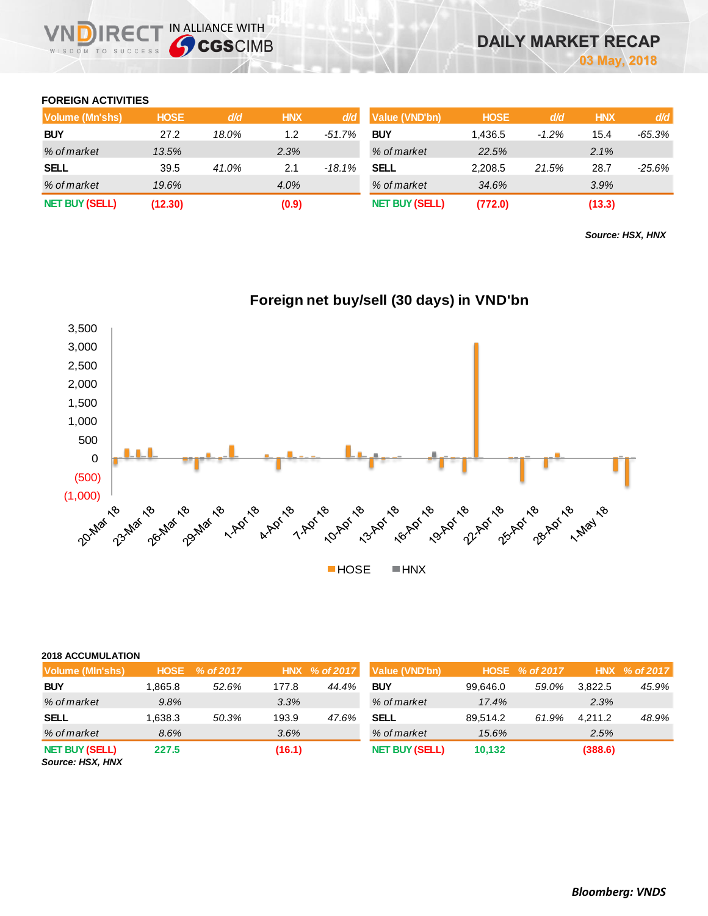## **FOREIGN ACTIVITIES**

| Volume (Mn'shs)       | <b>HOSE</b> | d/d   | <b>HNX</b> | d/d      | Value (VND'bn)        | <b>HOSE</b> | d/d     | <b>HNX</b> | d/d       |
|-----------------------|-------------|-------|------------|----------|-----------------------|-------------|---------|------------|-----------|
| <b>BUY</b>            | 27.2        | 18.0% | 1.2        | $-51.7%$ | <b>BUY</b>            | 1.436.5     | $-1.2%$ | 15.4       | -65.3%    |
| % of market           | 13.5%       |       | 2.3%       |          | % of market           | 22.5%       |         | 2.1%       |           |
| <b>SELL</b>           | 39.5        | 41.0% | 2.1        | -18.1%   | <b>SELL</b>           | 2,208.5     | 21.5%   | 28.7       | $-25.6\%$ |
| % of market           | 19.6%       |       | 4.0%       |          | % of market           | 34.6%       |         | 3.9%       |           |
| <b>NET BUY (SELL)</b> | (12.30)     |       | (0.9)      |          | <b>NET BUY (SELL)</b> | (772.0)     |         | (13.3)     |           |

*Source: HSX, HNX*



## **Foreign net buy/sell (30 days) in VND'bn**

| <b>2018 ACCUMULATION</b> |
|--------------------------|
|                          |

| ________________                          |         |                |        |               |                       |          |                |         |                  |
|-------------------------------------------|---------|----------------|--------|---------------|-----------------------|----------|----------------|---------|------------------|
| Volume (MIn'shs)                          |         | HOSE % of 2017 |        | HNX % of 2017 | Value (VND'bn)        |          | HOSE % of 2017 |         | HNX $\%$ of 2017 |
| <b>BUY</b>                                | 1.865.8 | 52.6%          | 177.8  | 44.4%         | <b>BUY</b>            | 99.646.0 | 59.0%          | 3.822.5 | 45.9%            |
| % of market                               | 9.8%    |                | 3.3%   |               | % of market           | 17.4%    |                | 2.3%    |                  |
| <b>SELL</b>                               | 1,638.3 | 50.3%          | 193.9  | 47.6%         | <b>SELL</b>           | 89.514.2 | 61.9%          | 4.211.2 | 48.9%            |
| % of market                               | 8.6%    |                | 3.6%   |               | % of market           | 15.6%    |                | 2.5%    |                  |
| <b>NET BUY (SELL)</b><br>Source: HSX, HNX | 227.5   |                | (16.1) |               | <b>NET BUY (SELL)</b> | 10.132   |                | (388.6) |                  |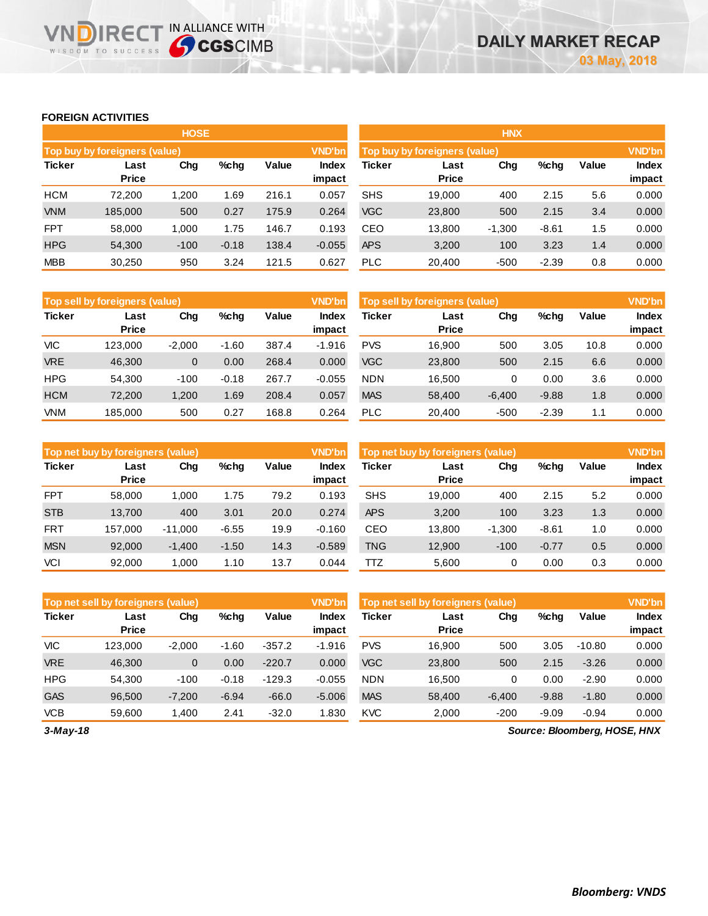## **FOREIGN ACTIVITIES**

WISDOM TO SUCCESS

**VNDIRECT IN ALLIANCE WITH** 

|               |                               | <b>HOSE</b> |         |       |                 | <b>HNX</b>                    |                      |          |         |       |                        |
|---------------|-------------------------------|-------------|---------|-------|-----------------|-------------------------------|----------------------|----------|---------|-------|------------------------|
|               | Top buy by foreigners (value) |             |         |       | <b>VND'bn</b>   | Top buy by foreigners (value) |                      |          |         |       | <b>VND'bn</b>          |
| <b>Ticker</b> | Last<br><b>Price</b>          | Chg         | %chg    | Value | Index<br>impact | Ticker                        | Last<br><b>Price</b> | Chg      | %chg    | Value | <b>Index</b><br>impact |
| <b>HCM</b>    | 72,200                        | 1,200       | 1.69    | 216.1 | 0.057           | <b>SHS</b>                    | 19,000               | 400      | 2.15    | 5.6   | 0.000                  |
| <b>VNM</b>    | 185,000                       | 500         | 0.27    | 175.9 | 0.264           | <b>VGC</b>                    | 23,800               | 500      | 2.15    | 3.4   | 0.000                  |
| <b>FPT</b>    | 58,000                        | 1.000       | 1.75    | 146.7 | 0.193           | CEO                           | 13,800               | $-1,300$ | $-8.61$ | 1.5   | 0.000                  |
| <b>HPG</b>    | 54,300                        | $-100$      | $-0.18$ | 138.4 | $-0.055$        | <b>APS</b>                    | 3,200                | 100      | 3.23    | 1.4   | 0.000                  |
| <b>MBB</b>    | 30,250                        | 950         | 3.24    | 121.5 | 0.627           | <b>PLC</b>                    | 20,400               | $-500$   | $-2.39$ | 0.8   | 0.000                  |

|               | <b>VND'bn</b><br>Top sell by foreigners (value) |          |         |       |                 |            | <b>VND'bn</b><br>Top sell by foreigners (value) |          |         |       |                        |
|---------------|-------------------------------------------------|----------|---------|-------|-----------------|------------|-------------------------------------------------|----------|---------|-------|------------------------|
| <b>Ticker</b> | Last<br><b>Price</b>                            | Chg      | %chq    | Value | Index<br>impact | Ticker     | Last<br><b>Price</b>                            | Chg      | %chg    | Value | <b>Index</b><br>impact |
| VIC           | 123.000                                         | $-2.000$ | $-1.60$ | 387.4 | $-1.916$        | <b>PVS</b> | 16.900                                          | 500      | 3.05    | 10.8  | 0.000                  |
| <b>VRE</b>    | 46,300                                          | 0        | 0.00    | 268.4 | 0.000           | <b>VGC</b> | 23,800                                          | 500      | 2.15    | 6.6   | 0.000                  |
| <b>HPG</b>    | 54.300                                          | $-100$   | $-0.18$ | 267.7 | $-0.055$        | <b>NDN</b> | 16.500                                          | 0        | 0.00    | 3.6   | 0.000                  |
| <b>HCM</b>    | 72,200                                          | 1,200    | 1.69    | 208.4 | 0.057           | <b>MAS</b> | 58,400                                          | $-6,400$ | $-9.88$ | 1.8   | 0.000                  |
| <b>VNM</b>    | 185.000                                         | 500      | 0.27    | 168.8 | 0.264           | <b>PLC</b> | 20.400                                          | $-500$   | $-2.39$ | 1.1   | 0.000                  |

|               | <b>VND'bn</b><br>Top net buy by foreigners (value) |           |         |       |                        |               | <b>VND'bn</b><br>Top net buy by foreigners (value) |          |         |       |                 |
|---------------|----------------------------------------------------|-----------|---------|-------|------------------------|---------------|----------------------------------------------------|----------|---------|-------|-----------------|
| <b>Ticker</b> | Last<br><b>Price</b>                               | Chg       | %chg    | Value | <b>Index</b><br>impact | <b>Ticker</b> | Last<br><b>Price</b>                               | Chg      | %chg    | Value | Index<br>impact |
| <b>FPT</b>    | 58,000                                             | 1,000     | 1.75    | 79.2  | 0.193                  | <b>SHS</b>    | 19.000                                             | 400      | 2.15    | 5.2   | 0.000           |
| <b>STB</b>    | 13.700                                             | 400       | 3.01    | 20.0  | 0.274                  | <b>APS</b>    | 3,200                                              | 100      | 3.23    | 1.3   | 0.000           |
| <b>FRT</b>    | 157.000                                            | $-11,000$ | $-6.55$ | 19.9  | $-0.160$               | CEO           | 13.800                                             | $-1,300$ | $-8.61$ | 1.0   | 0.000           |
| <b>MSN</b>    | 92,000                                             | $-1,400$  | $-1.50$ | 14.3  | $-0.589$               | <b>TNG</b>    | 12,900                                             | $-100$   | $-0.77$ | 0.5   | 0.000           |
| <b>VCI</b>    | 92,000                                             | 1.000     | 1.10    | 13.7  | 0.044                  | πz            | 5.600                                              | 0        | 0.00    | 0.3   | 0.000           |

|               | <b>VND'bn</b><br>Top net sell by foreigners (value) |              |         |          |                 |            | <b>VND'bn</b><br>Top net sell by foreigners (value) |          |         |          |                 |
|---------------|-----------------------------------------------------|--------------|---------|----------|-----------------|------------|-----------------------------------------------------|----------|---------|----------|-----------------|
| <b>Ticker</b> | Last<br><b>Price</b>                                | Chg          | %chq    | Value    | Index<br>impact | Ticker     | Last<br><b>Price</b>                                | Chg      | %chg    | Value    | Index<br>impact |
| VIC           | 123.000                                             | $-2.000$     | $-1.60$ | $-357.2$ | $-1.916$        | <b>PVS</b> | 16.900                                              | 500      | 3.05    | $-10.80$ | 0.000           |
| <b>VRE</b>    | 46,300                                              | $\mathbf{0}$ | 0.00    | $-220.7$ | 0.000           | <b>VGC</b> | 23,800                                              | 500      | 2.15    | $-3.26$  | 0.000           |
| <b>HPG</b>    | 54.300                                              | $-100$       | $-0.18$ | $-129.3$ | $-0.055$        | <b>NDN</b> | 16.500                                              | 0        | 0.00    | $-2.90$  | 0.000           |
| <b>GAS</b>    | 96.500                                              | $-7,200$     | $-6.94$ | $-66.0$  | $-5.006$        | <b>MAS</b> | 58,400                                              | $-6,400$ | $-9.88$ | $-1.80$  | 0.000           |
| <b>VCB</b>    | 59.600                                              | 1.400        | 2.41    | $-32.0$  | 1.830           | <b>KVC</b> | 2.000                                               | $-200$   | $-9.09$ | $-0.94$  | 0.000           |

*3-May-18*

*Source: Bloomberg, HOSE, HNX*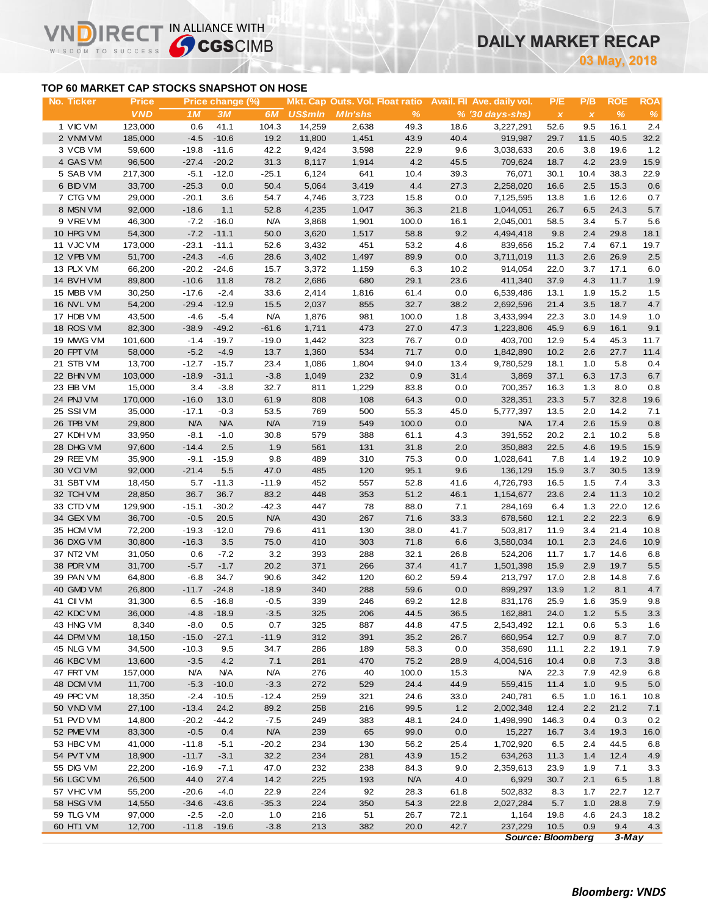## **DAILY MARKET RECAP**

**May, 2018**

### **TOP 60 MARKET CAP STOCKS SNAPSHOT ON HOSE**

 $R \in C$ 

WISDOM TO SUCCESS

IN ALLIANCE WITH

| No. Ticker | <b>Price</b> |            | Price change (%) |            |                |                |            |      | Mkt. Cap Outs. Vol. Float ratio Avail. Fil Ave. daily vol. | P/E                       | P/B          | <b>ROE</b> | <b>ROA</b> |
|------------|--------------|------------|------------------|------------|----------------|----------------|------------|------|------------------------------------------------------------|---------------------------|--------------|------------|------------|
|            | <b>VND</b>   | 1M         | 3M               | 6M         | <b>US\$mln</b> | <b>MIn'shs</b> | %          |      | $% (30 \, \text{days-shs})$                                | $\boldsymbol{\mathsf{x}}$ | $\pmb{\chi}$ | %          | $\%$       |
| 1 VIC VM   | 123,000      | 0.6        | 41.1             | 104.3      | 14,259         | 2,638          | 49.3       | 18.6 | 3,227,291                                                  | 52.6                      | 9.5          | 16.1       | 2.4        |
| 2 VNM VM   | 185,000      | $-4.5$     | $-10.6$          | 19.2       | 11,800         | 1,451          | 43.9       | 40.4 | 919,987                                                    | 29.7                      | 11.5         | 40.5       | 32.2       |
| 3 VCB VM   | 59,600       | $-19.8$    | $-11.6$          | 42.2       | 9,424          | 3,598          | 22.9       | 9.6  | 3,038,633                                                  | 20.6                      | 3.8          | 19.6       | 1.2        |
| 4 GAS VM   | 96,500       | $-27.4$    | $-20.2$          | 31.3       | 8,117          | 1,914          | 4.2        | 45.5 | 709,624                                                    | 18.7                      | 4.2          | 23.9       | 15.9       |
| 5 SAB VM   | 217,300      | $-5.1$     | $-12.0$          | $-25.1$    | 6,124          | 641            | 10.4       | 39.3 | 76,071                                                     | 30.1                      | 10.4         | 38.3       | 22.9       |
| 6 BID VM   | 33,700       | $-25.3$    | 0.0              | 50.4       | 5,064          | 3,419          | 4.4        | 27.3 | 2,258,020                                                  | 16.6                      | 2.5          | 15.3       | 0.6        |
| 7 CTG VM   | 29,000       | $-20.1$    | 3.6              | 54.7       | 4,746          | 3,723          | 15.8       | 0.0  | 7,125,595                                                  | 13.8                      | 1.6          | 12.6       | 0.7        |
| 8 MSN VM   | 92,000       | $-18.6$    | 1.1              | 52.8       | 4,235          | 1,047          | 36.3       | 21.8 | 1,044,051                                                  | 26.7                      | 6.5          | 24.3       | 5.7        |
| 9 VREVM    | 46,300       | $-7.2$     | $-16.0$          | <b>N/A</b> | 3,868          | 1,901          | 100.0      | 16.1 | 2,045,001                                                  | 58.5                      | 3.4          | 5.7        | 5.6        |
| 10 HPG VM  | 54,300       | $-7.2$     | $-11.1$          | 50.0       | 3,620          | 1,517          | 58.8       | 9.2  | 4,494,418                                                  | 9.8                       | 2.4          | 29.8       | 18.1       |
| 11 VJC VM  | 173,000      | $-23.1$    | $-11.1$          | 52.6       | 3,432          | 451            | 53.2       | 4.6  | 839,656                                                    | 15.2                      | 7.4          | 67.1       | 19.7       |
| 12 VPB VM  | 51,700       | $-24.3$    | $-4.6$           | 28.6       | 3,402          | 1,497          | 89.9       | 0.0  | 3,711,019                                                  | 11.3                      | 2.6          | 26.9       | 2.5        |
| 13 PLX VM  | 66,200       | $-20.2$    | $-24.6$          | 15.7       | 3,372          | 1,159          | 6.3        | 10.2 | 914,054                                                    | 22.0                      | 3.7          | 17.1       | 6.0        |
| 14 BVH VM  | 89,800       | $-10.6$    | 11.8             | 78.2       | 2,686          | 680            | 29.1       | 23.6 | 411,340                                                    | 37.9                      | 4.3          | 11.7       | 1.9        |
| 15 MBB VM  | 30,250       | $-17.6$    | $-2.4$           | 33.6       | 2,414          | 1,816          | 61.4       | 0.0  | 6,539,486                                                  | 13.1                      | 1.9          | 15.2       | 1.5        |
| 16 NVL VM  | 54,200       | $-29.4$    | $-12.9$          | 15.5       | 2,037          | 855            | 32.7       | 38.2 | 2,692,596                                                  | 21.4                      | 3.5          | 18.7       | 4.7        |
| 17 HDB VM  | 43,500       | $-4.6$     | $-5.4$           | <b>N/A</b> | 1,876          | 981            | 100.0      | 1.8  | 3,433,994                                                  | 22.3                      | 3.0          | 14.9       |            |
| 18 ROS VM  | 82,300       | $-38.9$    | $-49.2$          | $-61.6$    | 1,711          | 473            | 27.0       | 47.3 | 1,223,806                                                  | 45.9                      | 6.9          | 16.1       | 1.0<br>9.1 |
| 19 MWG VM  | 101,600      | $-1.4$     | $-19.7$          | $-19.0$    | 1,442          | 323            | 76.7       | 0.0  | 403,700                                                    | 12.9                      | 5.4          | 45.3       | 11.7       |
|            |              |            |                  |            |                |                |            |      |                                                            |                           |              |            |            |
| 20 FPT VM  | 58,000       | $-5.2$     | $-4.9$           | 13.7       | 1,360          | 534            | 71.7       | 0.0  | 1,842,890                                                  | 10.2                      | 2.6          | 27.7       | 11.4       |
| 21 STB VM  | 13,700       | $-12.7$    | $-15.7$          | 23.4       | 1,086          | 1,804          | 94.0       | 13.4 | 9,780,529                                                  | 18.1                      | 1.0          | 5.8        | 0.4        |
| 22 BHN VM  | 103,000      | $-18.9$    | $-31.1$          | $-3.8$     | 1,049          | 232            | 0.9        | 31.4 | 3,869                                                      | 37.1                      | 6.3          | 17.3       | 6.7        |
| 23 EIB VM  | 15,000       | 3.4        | $-3.8$           | 32.7       | 811            | 1,229          | 83.8       | 0.0  | 700,357                                                    | 16.3                      | 1.3          | 8.0        | 0.8        |
| 24 PNJ VM  | 170,000      | $-16.0$    | 13.0             | 61.9       | 808            | 108            | 64.3       | 0.0  | 328,351                                                    | 23.3                      | 5.7          | 32.8       | 19.6       |
| 25 SSIVM   | 35,000       | $-17.1$    | $-0.3$           | 53.5       | 769            | 500            | 55.3       | 45.0 | 5,777,397                                                  | 13.5                      | 2.0          | 14.2       | 7.1        |
| 26 TPB VM  | 29,800       | N/A        | <b>N/A</b>       | <b>N/A</b> | 719            | 549            | 100.0      | 0.0  | <b>N/A</b>                                                 | 17.4                      | 2.6          | 15.9       | 0.8        |
| 27 KDH VM  | 33,950       | $-8.1$     | $-1.0$           | 30.8       | 579            | 388            | 61.1       | 4.3  | 391,552                                                    | 20.2                      | 2.1          | 10.2       | 5.8        |
| 28 DHG VM  | 97,600       | $-14.4$    | 2.5              | 1.9        | 561            | 131            | 31.8       | 2.0  | 350,883                                                    | 22.5                      | 4.6          | 19.5       | 15.9       |
| 29 REE VM  | 35,900       | $-9.1$     | $-15.9$          | 9.8        | 489            | 310            | 75.3       | 0.0  | 1,028,641                                                  | 7.8                       | 1.4          | 19.2       | 10.9       |
| 30 VCIVM   | 92,000       | $-21.4$    | 5.5              | 47.0       | 485            | 120            | 95.1       | 9.6  | 136,129                                                    | 15.9                      | 3.7          | 30.5       | 13.9       |
| 31 SBT VM  | 18,450       | 5.7        | $-11.3$          | $-11.9$    | 452            | 557            | 52.8       | 41.6 | 4,726,793                                                  | 16.5                      | 1.5          | 7.4        | 3.3        |
| 32 TCH VM  | 28,850       | 36.7       | 36.7             | 83.2       | 448            | 353            | 51.2       | 46.1 | 1,154,677                                                  | 23.6                      | 2.4          | 11.3       | 10.2       |
| 33 CTD VM  | 129,900      | $-15.1$    | $-30.2$          | $-42.3$    | 447            | 78             | 88.0       | 7.1  | 284,169                                                    | 6.4                       | 1.3          | 22.0       | 12.6       |
| 34 GEX VM  | 36,700       | $-0.5$     | 20.5             | <b>N/A</b> | 430            | 267            | 71.6       | 33.3 | 678,560                                                    | 12.1                      | 2.2          | 22.3       | 6.9        |
| 35 HCM VM  | 72,200       | $-19.3$    | $-12.0$          | 79.6       | 411            | 130            | 38.0       | 41.7 | 503,817                                                    | 11.9                      | 3.4          | 21.4       | 10.8       |
| 36 DXG VM  | 30,800       | $-16.3$    | 3.5              | 75.0       | 410            | 303            | 71.8       | 6.6  | 3,580,034                                                  | 10.1                      | 2.3          | 24.6       | 10.9       |
| 37 NT2 VM  | 31,050       | 0.6        | $-7.2$           | 3.2        | 393            | 288            | 32.1       | 26.8 | 524,206                                                    | 11.7                      | 1.7          | 14.6       | 6.8        |
| 38 PDR VM  | 31,700       | $-5.7$     | $-1.7$           | 20.2       | 371            | 266            | 37.4       | 41.7 | 1,501,398                                                  | 15.9                      | 2.9          | 19.7       | 5.5        |
| 39 PAN VM  | 64,800       | $-6.8$     | 34.7             | 90.6       | 342            | 120            | 60.2       | 59.4 | 213,797                                                    | 17.0                      | 2.8          | 14.8       | 7.6        |
| 40 GMD VM  | 26,800       | $-11.7$    | $-24.8$          | $-18.9$    | 340            | 288            | 59.6       | 0.0  | 899,297                                                    | 13.9                      | 1.2          | 8.1        | 4.7        |
| 41 CII VM  | 31,300       | 6.5        | $-16.8$          | $-0.5$     | 339            | 246            | 69.2       | 12.8 | 831,176                                                    | 25.9                      | 1.6          | 35.9       | 9.8        |
| 42 KDC VM  | 36,000       | $-4.8$     | $-18.9$          | $-3.5$     | 325            | 206            | 44.5       | 36.5 | 162,881                                                    | 24.0                      | 1.2          | 5.5        | 3.3        |
| 43 HNG VM  | 8,340        | $-8.0$     | 0.5              | 0.7        | 325            | 887            | 44.8       | 47.5 | 2,543,492                                                  | 12.1                      | 0.6          | 5.3        | 1.6        |
| 44 DPM VM  | 18,150       | $-15.0$    | $-27.1$          | $-11.9$    | 312            | 391            | 35.2       | 26.7 | 660,954                                                    | 12.7                      | 0.9          | 8.7        | 7.0        |
| 45 NLG VM  | 34,500       | $-10.3$    | 9.5              | 34.7       | 286            | 189            | 58.3       | 0.0  | 358,690                                                    | 11.1                      | 2.2          | 19.1       | 7.9        |
| 46 KBC VM  | 13,600       | $-3.5$     | 4.2              | 7.1        | 281            | 470            | 75.2       | 28.9 | 4,004,516                                                  | 10.4                      | 0.8          | 7.3        | 3.8        |
| 47 FRT VM  | 157,000      | <b>N/A</b> | <b>N/A</b>       | N/A        | 276            | 40             | 100.0      | 15.3 | <b>N/A</b>                                                 | 22.3                      | 7.9          | 42.9       | 6.8        |
| 48 DCM VM  | 11,700       | $-5.3$     | $-10.0$          | $-3.3$     | 272            | 529            | 24.4       | 44.9 | 559,415                                                    | 11.4                      | 1.0          | 9.5        | 5.0        |
| 49 PPC VM  | 18,350       | $-2.4$     | $-10.5$          | $-12.4$    | 259            | 321            | 24.6       | 33.0 | 240,781                                                    | 6.5                       | 1.0          | 16.1       | 10.8       |
| 50 VND VM  | 27,100       | $-13.4$    | 24.2             | 89.2       | 258            | 216            | 99.5       | 1.2  | 2,002,348                                                  | 12.4                      | 2.2          | 21.2       | 7.1        |
| 51 PVD VM  | 14,800       | $-20.2$    | $-44.2$          | $-7.5$     | 249            | 383            | 48.1       | 24.0 | 1,498,990                                                  | 146.3                     | 0.4          | 0.3        | 0.2        |
| 52 PME VM  | 83,300       | $-0.5$     | 0.4              | <b>N/A</b> | 239            | 65             | 99.0       | 0.0  | 15,227                                                     | 16.7                      | 3.4          | 19.3       | 16.0       |
| 53 HBC VM  | 41,000       | $-11.8$    | $-5.1$           | $-20.2$    | 234            | 130            | 56.2       | 25.4 | 1,702,920                                                  | 6.5                       | 2.4          | 44.5       | 6.8        |
| 54 PVT VM  | 18,900       | $-11.7$    | $-3.1$           | 32.2       | 234            | 281            | 43.9       | 15.2 | 634,263                                                    | 11.3                      | 1.4          | 12.4       | 4.9        |
| 55 DIG VM  | 22,200       | $-16.9$    | $-7.1$           | 47.0       | 232            | 238            | 84.3       | 9.0  | 2,359,613                                                  | 23.9                      | 1.9          | 7.1        | 3.3        |
| 56 LGC VM  | 26,500       | 44.0       | 27.4             | 14.2       | 225            | 193            | <b>N/A</b> | 4.0  | 6,929                                                      | 30.7                      | 2.1          | 6.5        | 1.8        |
| 57 VHC VM  | 55,200       | $-20.6$    | $-4.0$           | 22.9       | 224            | 92             | 28.3       | 61.8 | 502,832                                                    | 8.3                       | 1.7          | 22.7       | 12.7       |
| 58 HSG VM  | 14,550       | $-34.6$    | $-43.6$          | $-35.3$    | 224            | 350            | 54.3       | 22.8 | 2,027,284                                                  | 5.7                       | 1.0          | 28.8       | 7.9        |
| 59 TLG VM  | 97,000       | $-2.5$     | $-2.0$           | 1.0        | 216            | 51             | 26.7       | 72.1 | 1,164                                                      | 19.8                      | 4.6          | 24.3       | 18.2       |
| 60 HT1 VM  | 12,700       | $-11.8$    | $-19.6$          | $-3.8$     | 213            | 382            | 20.0       | 42.7 | 237,229                                                    | 10.5                      | 0.9          | 9.4        | 4.3        |
|            |              |            |                  |            |                |                |            |      |                                                            | <b>Source: Bloomberg</b>  |              | $3$ -May   |            |
|            |              |            |                  |            |                |                |            |      |                                                            |                           |              |            |            |